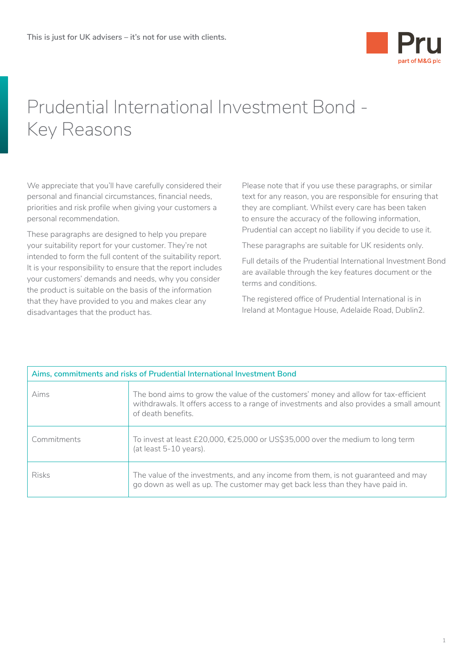

## Prudential International Investment Bond - Key Reasons

We appreciate that you'll have carefully considered their personal and financial circumstances, financial needs, priorities and risk profile when giving your customers a personal recommendation.

These paragraphs are designed to help you prepare your suitability report for your customer. They're not intended to form the full content of the suitability report. It is your responsibility to ensure that the report includes your customers' demands and needs, why you consider the product is suitable on the basis of the information that they have provided to you and makes clear any disadvantages that the product has.

Please note that if you use these paragraphs, or similar text for any reason, you are responsible for ensuring that they are compliant. Whilst every care has been taken to ensure the accuracy of the following information, Prudential can accept no liability if you decide to use it.

These paragraphs are suitable for UK residents only.

Full details of the Prudential International Investment Bond are available through the key features document or the terms and conditions.

The registered office of Prudential International is in Ireland at Montague House, Adelaide Road, Dublin2.

| Aims, commitments and risks of Prudential International Investment Bond |                                                                                                                                                                                                       |
|-------------------------------------------------------------------------|-------------------------------------------------------------------------------------------------------------------------------------------------------------------------------------------------------|
| Aims                                                                    | The bond aims to grow the value of the customers' money and allow for tax-efficient<br>withdrawals. It offers access to a range of investments and also provides a small amount<br>of death benefits. |
| Commitments                                                             | To invest at least £20,000, €25,000 or US\$35,000 over the medium to long term<br>(at least 5-10 years).                                                                                              |
| <b>Risks</b>                                                            | The value of the investments, and any income from them, is not guaranteed and may<br>go down as well as up. The customer may get back less than they have paid in.                                    |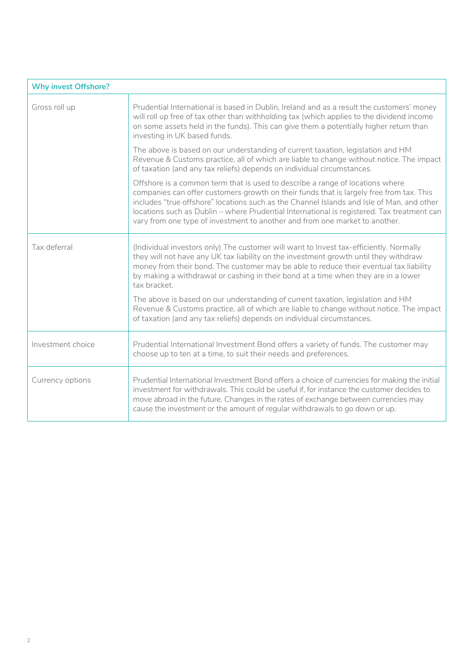| <b>Why invest Offshore?</b> |                                                                                                                                                                                                                                                                                                                                                                                                                                                    |
|-----------------------------|----------------------------------------------------------------------------------------------------------------------------------------------------------------------------------------------------------------------------------------------------------------------------------------------------------------------------------------------------------------------------------------------------------------------------------------------------|
| Gross roll up               | Prudential International is based in Dublin, Ireland and as a result the customers' money<br>will roll up free of tax other than withholding tax (which applies to the dividend income<br>on some assets held in the funds). This can give them a potentially higher return than<br>investing in UK based funds.                                                                                                                                   |
|                             | The above is based on our understanding of current taxation, legislation and HM<br>Revenue & Customs practice, all of which are liable to change without notice. The impact<br>of taxation (and any tax reliefs) depends on individual circumstances.                                                                                                                                                                                              |
|                             | Offshore is a common term that is used to describe a range of locations where<br>companies can offer customers growth on their funds that is largely free from tax. This<br>includes "true offshore" locations such as the Channel Islands and Isle of Man, and other<br>locations such as Dublin - where Prudential International is registered. Tax treatment can<br>vary from one type of investment to another and from one market to another. |
| Tax deferral                | (Individual investors only) The customer will want to Invest tax-efficiently. Normally<br>they will not have any UK tax liability on the investment growth until they withdraw<br>money from their bond. The customer may be able to reduce their eventual tax liability<br>by making a withdrawal or cashing in their bond at a time when they are in a lower<br>tax bracket.                                                                     |
|                             | The above is based on our understanding of current taxation, legislation and HM<br>Revenue & Customs practice, all of which are liable to change without notice. The impact<br>of taxation (and any tax reliefs) depends on individual circumstances.                                                                                                                                                                                              |
| Investment choice           | Prudential International Investment Bond offers a variety of funds. The customer may<br>choose up to ten at a time, to suit their needs and preferences.                                                                                                                                                                                                                                                                                           |
| Currency options            | Prudential International Investment Bond offers a choice of currencies for making the initial<br>investment for withdrawals. This could be useful if, for instance the customer decides to<br>move abroad in the future. Changes in the rates of exchange between currencies may<br>cause the investment or the amount of regular withdrawals to go down or up.                                                                                    |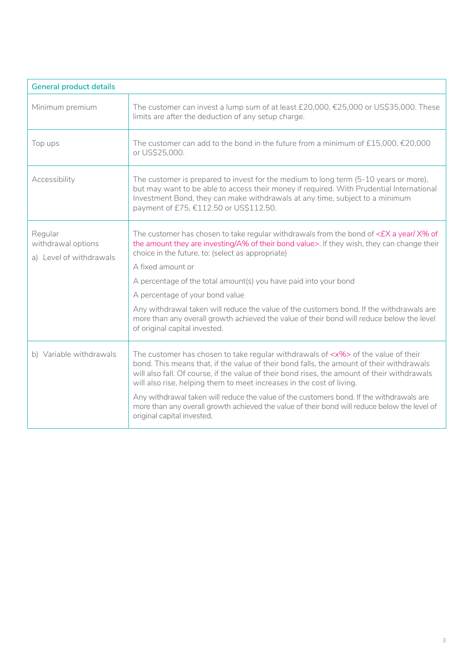| <b>General product details</b>                           |                                                                                                                                                                                                                                                                                                                                                                                                                                                                                                                                                                                             |  |
|----------------------------------------------------------|---------------------------------------------------------------------------------------------------------------------------------------------------------------------------------------------------------------------------------------------------------------------------------------------------------------------------------------------------------------------------------------------------------------------------------------------------------------------------------------------------------------------------------------------------------------------------------------------|--|
| Minimum premium                                          | The customer can invest a lump sum of at least £20,000, €25,000 or US\$35,000. These<br>limits are after the deduction of any setup charge.                                                                                                                                                                                                                                                                                                                                                                                                                                                 |  |
| Top ups                                                  | The customer can add to the bond in the future from a minimum of £15,000, $£20,000$<br>or US\$25,000.                                                                                                                                                                                                                                                                                                                                                                                                                                                                                       |  |
| Accessibility                                            | The customer is prepared to invest for the medium to long term (5-10 years or more),<br>but may want to be able to access their money if required. With Prudential International<br>Investment Bond, they can make withdrawals at any time, subject to a minimum<br>payment of £75, €112.50 or US\$112.50.                                                                                                                                                                                                                                                                                  |  |
| Regular<br>withdrawal options<br>a) Level of withdrawals | The customer has chosen to take regular withdrawals from the bond of $\epsilon$ EX a year/X% of<br>the amount they are investing/A% of their bond value>. If they wish, they can change their<br>choice in the future, to: (select as appropriate)<br>A fixed amount or<br>A percentage of the total amount(s) you have paid into your bond<br>A percentage of your bond value                                                                                                                                                                                                              |  |
|                                                          | Any withdrawal taken will reduce the value of the customers bond. If the withdrawals are<br>more than any overall growth achieved the value of their bond will reduce below the level<br>of original capital invested.                                                                                                                                                                                                                                                                                                                                                                      |  |
| b) Variable withdrawals                                  | The customer has chosen to take regular withdrawals of <x%> of the value of their<br/>bond. This means that, if the value of their bond falls, the amount of their withdrawals<br/>will also fall. Of course, if the value of their bond rises, the amount of their withdrawals<br/>will also rise, helping them to meet increases in the cost of living.<br/>Any withdrawal taken will reduce the value of the customers bond. If the withdrawals are<br/>more than any overall growth achieved the value of their bond will reduce below the level of<br/>original capital invested.</x%> |  |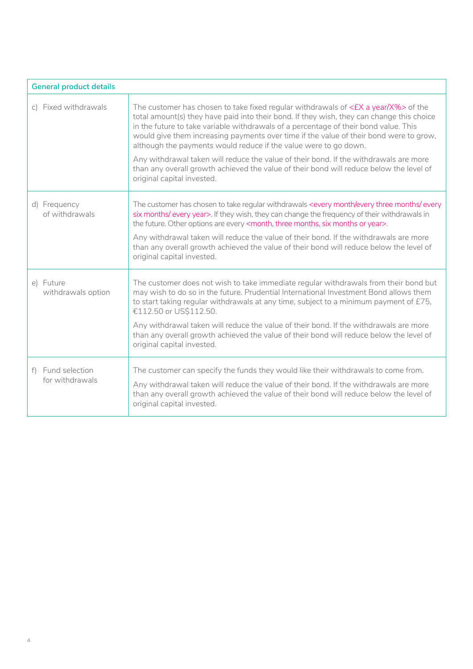| <b>General product details</b>       |                                                                                                                                                                                                                                                                                                                                                                                                                                             |  |
|--------------------------------------|---------------------------------------------------------------------------------------------------------------------------------------------------------------------------------------------------------------------------------------------------------------------------------------------------------------------------------------------------------------------------------------------------------------------------------------------|--|
| c) Fixed withdrawals                 | The customer has chosen to take fixed regular withdrawals of $\leq$ EX a year/X%> of the<br>total amount(s) they have paid into their bond. If they wish, they can change this choice<br>in the future to take variable withdrawals of a percentage of their bond value. This<br>would give them increasing payments over time if the value of their bond were to grow,<br>although the payments would reduce if the value were to go down. |  |
|                                      | Any withdrawal taken will reduce the value of their bond. If the withdrawals are more<br>than any overall growth achieved the value of their bond will reduce below the level of<br>original capital invested.                                                                                                                                                                                                                              |  |
| d) Frequency<br>of withdrawals       | The customer has chosen to take regular withdrawals <every every="" every<br="" month="" months="" three="">six months/every year&gt;. If they wish, they can change the frequency of their withdrawals in<br/>the future. Other options are every <month, months="" months,="" or="" six="" three="" year="">.</month,></every>                                                                                                            |  |
|                                      | Any withdrawal taken will reduce the value of their bond. If the withdrawals are more<br>than any overall growth achieved the value of their bond will reduce below the level of<br>original capital invested.                                                                                                                                                                                                                              |  |
| e) Future<br>withdrawals option      | The customer does not wish to take immediate regular withdrawals from their bond but<br>may wish to do so in the future. Prudential International Investment Bond allows them<br>to start taking regular withdrawals at any time, subject to a minimum payment of £75,<br>€112.50 or US\$112.50.                                                                                                                                            |  |
|                                      | Any withdrawal taken will reduce the value of their bond. If the withdrawals are more<br>than any overall growth achieved the value of their bond will reduce below the level of<br>original capital invested.                                                                                                                                                                                                                              |  |
| f) Fund selection<br>for withdrawals | The customer can specify the funds they would like their withdrawals to come from.<br>Any withdrawal taken will reduce the value of their bond. If the withdrawals are more<br>than any overall growth achieved the value of their bond will reduce below the level of<br>original capital invested.                                                                                                                                        |  |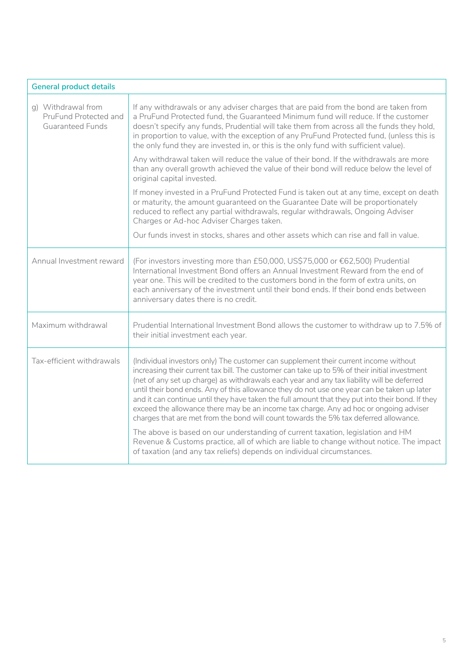| <b>General product details</b>                                         |                                                                                                                                                                                                                                                                                                                                                                                                                                                                                                                                                                                                                                                                                                                                                                                                                                                                                                                                  |  |
|------------------------------------------------------------------------|----------------------------------------------------------------------------------------------------------------------------------------------------------------------------------------------------------------------------------------------------------------------------------------------------------------------------------------------------------------------------------------------------------------------------------------------------------------------------------------------------------------------------------------------------------------------------------------------------------------------------------------------------------------------------------------------------------------------------------------------------------------------------------------------------------------------------------------------------------------------------------------------------------------------------------|--|
| q) Withdrawal from<br>PruFund Protected and<br><b>Guaranteed Funds</b> | If any withdrawals or any adviser charges that are paid from the bond are taken from<br>a PruFund Protected fund, the Guaranteed Minimum fund will reduce. If the customer<br>doesn't specify any funds, Prudential will take them from across all the funds they hold,<br>in proportion to value, with the exception of any PruFund Protected fund, (unless this is<br>the only fund they are invested in, or this is the only fund with sufficient value).                                                                                                                                                                                                                                                                                                                                                                                                                                                                     |  |
|                                                                        | Any withdrawal taken will reduce the value of their bond. If the withdrawals are more<br>than any overall growth achieved the value of their bond will reduce below the level of<br>original capital invested.                                                                                                                                                                                                                                                                                                                                                                                                                                                                                                                                                                                                                                                                                                                   |  |
|                                                                        | If money invested in a PruFund Protected Fund is taken out at any time, except on death<br>or maturity, the amount guaranteed on the Guarantee Date will be proportionately<br>reduced to reflect any partial withdrawals, regular withdrawals, Ongoing Adviser<br>Charges or Ad-hoc Adviser Charges taken.                                                                                                                                                                                                                                                                                                                                                                                                                                                                                                                                                                                                                      |  |
|                                                                        | Our funds invest in stocks, shares and other assets which can rise and fall in value.                                                                                                                                                                                                                                                                                                                                                                                                                                                                                                                                                                                                                                                                                                                                                                                                                                            |  |
| Annual Investment reward                                               | (For investors investing more than £50,000, US\$75,000 or €62,500) Prudential<br>International Investment Bond offers an Annual Investment Reward from the end of<br>year one. This will be credited to the customers bond in the form of extra units, on<br>each anniversary of the investment until their bond ends. If their bond ends between<br>anniversary dates there is no credit.                                                                                                                                                                                                                                                                                                                                                                                                                                                                                                                                       |  |
| Maximum withdrawal                                                     | Prudential International Investment Bond allows the customer to withdraw up to 7.5% of<br>their initial investment each year.                                                                                                                                                                                                                                                                                                                                                                                                                                                                                                                                                                                                                                                                                                                                                                                                    |  |
| Tax-efficient withdrawals                                              | (Individual investors only) The customer can supplement their current income without<br>increasing their current tax bill. The customer can take up to 5% of their initial investment<br>(net of any set up charge) as withdrawals each year and any tax liability will be deferred<br>until their bond ends. Any of this allowance they do not use one year can be taken up later<br>and it can continue until they have taken the full amount that they put into their bond. If they<br>exceed the allowance there may be an income tax charge. Any ad hoc or ongoing adviser<br>charges that are met from the bond will count towards the 5% tax deferred allowance.<br>The above is based on our understanding of current taxation, legislation and HM<br>Revenue & Customs practice, all of which are liable to change without notice. The impact<br>of taxation (and any tax reliefs) depends on individual circumstances. |  |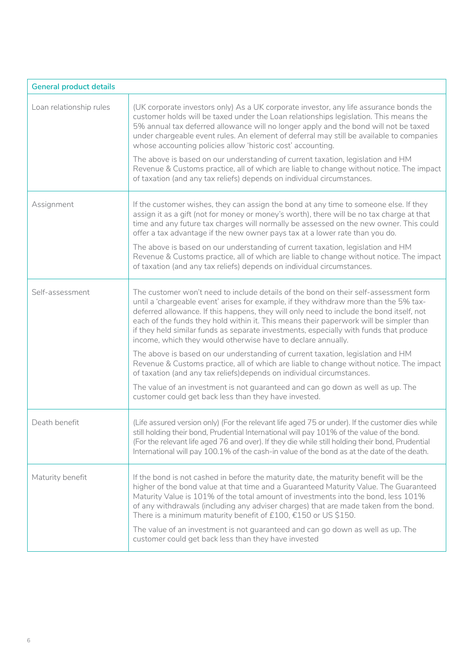| <b>General product details</b> |                                                                                                                                                                                                                                                                                                                                                                                                                                                                                                                                                                                                                                                                                                                                                                                                                                                                                                                                   |  |
|--------------------------------|-----------------------------------------------------------------------------------------------------------------------------------------------------------------------------------------------------------------------------------------------------------------------------------------------------------------------------------------------------------------------------------------------------------------------------------------------------------------------------------------------------------------------------------------------------------------------------------------------------------------------------------------------------------------------------------------------------------------------------------------------------------------------------------------------------------------------------------------------------------------------------------------------------------------------------------|--|
| Loan relationship rules        | (UK corporate investors only) As a UK corporate investor, any life assurance bonds the<br>customer holds will be taxed under the Loan relationships legislation. This means the<br>5% annual tax deferred allowance will no longer apply and the bond will not be taxed<br>under chargeable event rules. An element of deferral may still be available to companies<br>whose accounting policies allow 'historic cost' accounting.<br>The above is based on our understanding of current taxation, legislation and HM<br>Revenue & Customs practice, all of which are liable to change without notice. The impact<br>of taxation (and any tax reliefs) depends on individual circumstances.                                                                                                                                                                                                                                       |  |
| Assignment                     | If the customer wishes, they can assign the bond at any time to someone else. If they<br>assign it as a gift (not for money or money's worth), there will be no tax charge at that<br>time and any future tax charges will normally be assessed on the new owner. This could<br>offer a tax advantage if the new owner pays tax at a lower rate than you do.<br>The above is based on our understanding of current taxation, legislation and HM<br>Revenue & Customs practice, all of which are liable to change without notice. The impact<br>of taxation (and any tax reliefs) depends on individual circumstances.                                                                                                                                                                                                                                                                                                             |  |
| Self-assessment                | The customer won't need to include details of the bond on their self-assessment form<br>until a 'chargeable event' arises for example, if they withdraw more than the 5% tax-<br>deferred allowance. If this happens, they will only need to include the bond itself, not<br>each of the funds they hold within it. This means their paperwork will be simpler than<br>if they held similar funds as separate investments, especially with funds that produce<br>income, which they would otherwise have to declare annually.<br>The above is based on our understanding of current taxation, legislation and HM<br>Revenue & Customs practice, all of which are liable to change without notice. The impact<br>of taxation (and any tax reliefs)depends on individual circumstances.<br>The value of an investment is not guaranteed and can go down as well as up. The<br>customer could get back less than they have invested. |  |
| Death benefit                  | (Life assured version only) (For the relevant life aged 75 or under). If the customer dies while<br>still holding their bond, Prudential International will pay 101% of the value of the bond.<br>(For the relevant life aged 76 and over). If they die while still holding their bond, Prudential<br>International will pay 100.1% of the cash-in value of the bond as at the date of the death.                                                                                                                                                                                                                                                                                                                                                                                                                                                                                                                                 |  |
| Maturity benefit               | If the bond is not cashed in before the maturity date, the maturity benefit will be the<br>higher of the bond value at that time and a Guaranteed Maturity Value. The Guaranteed<br>Maturity Value is 101% of the total amount of investments into the bond, less 101%<br>of any withdrawals (including any adviser charges) that are made taken from the bond.<br>There is a minimum maturity benefit of £100, €150 or US\$150.<br>The value of an investment is not guaranteed and can go down as well as up. The<br>customer could get back less than they have invested                                                                                                                                                                                                                                                                                                                                                       |  |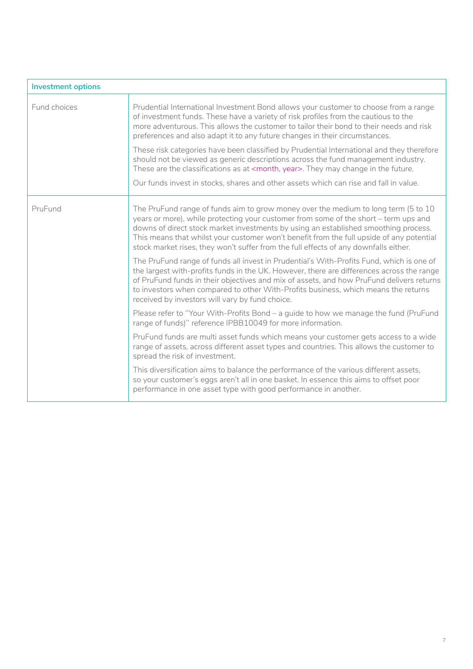| <b>Investment options</b> |                                                                                                                                                                                                                                                                                                                                                                                                                                                       |
|---------------------------|-------------------------------------------------------------------------------------------------------------------------------------------------------------------------------------------------------------------------------------------------------------------------------------------------------------------------------------------------------------------------------------------------------------------------------------------------------|
| Fund choices              | Prudential International Investment Bond allows your customer to choose from a range<br>of investment funds. These have a variety of risk profiles from the cautious to the<br>more adventurous. This allows the customer to tailor their bond to their needs and risk<br>preferences and also adapt it to any future changes in their circumstances.                                                                                                 |
|                           | These risk categories have been classified by Prudential International and they therefore<br>should not be viewed as generic descriptions across the fund management industry.<br>These are the classifications as at <month, year="">. They may change in the future.</month,>                                                                                                                                                                       |
|                           | Our funds invest in stocks, shares and other assets which can rise and fall in value.                                                                                                                                                                                                                                                                                                                                                                 |
| PruFund                   | The PruFund range of funds aim to grow money over the medium to long term (5 to 10<br>years or more), while protecting your customer from some of the short – term ups and<br>downs of direct stock market investments by using an established smoothing process.<br>This means that whilst your customer won't benefit from the full upside of any potential<br>stock market rises, they won't suffer from the full effects of any downfalls either. |
|                           | The PruFund range of funds all invest in Prudential's With-Profits Fund, which is one of<br>the largest with-profits funds in the UK. However, there are differences across the range<br>of PruFund funds in their objectives and mix of assets, and how PruFund delivers returns<br>to investors when compared to other With-Profits business, which means the returns<br>received by investors will vary by fund choice.                            |
|                           | Please refer to "Your With-Profits Bond - a guide to how we manage the fund (PruFund<br>range of funds)" reference IPBB10049 for more information.                                                                                                                                                                                                                                                                                                    |
|                           | PruFund funds are multi asset funds which means your customer gets access to a wide<br>range of assets, across different asset types and countries. This allows the customer to<br>spread the risk of investment.                                                                                                                                                                                                                                     |
|                           | This diversification aims to balance the performance of the various different assets,<br>so your customer's eggs aren't all in one basket. In essence this aims to offset poor<br>performance in one asset type with good performance in another.                                                                                                                                                                                                     |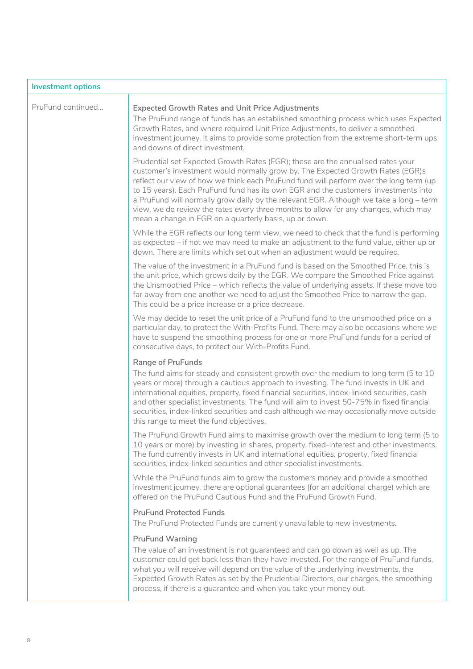| <b>Investment options</b> |                                                                                                                                                                                                                                                                                                                                                                                                                                                                                                                                                                                               |  |
|---------------------------|-----------------------------------------------------------------------------------------------------------------------------------------------------------------------------------------------------------------------------------------------------------------------------------------------------------------------------------------------------------------------------------------------------------------------------------------------------------------------------------------------------------------------------------------------------------------------------------------------|--|
| PruFund continued         | <b>Expected Growth Rates and Unit Price Adjustments</b><br>The PruFund range of funds has an established smoothing process which uses Expected<br>Growth Rates, and where required Unit Price Adjustments, to deliver a smoothed<br>investment journey. It aims to provide some protection from the extreme short-term ups<br>and downs of direct investment.                                                                                                                                                                                                                                 |  |
|                           | Prudential set Expected Growth Rates (EGR); these are the annualised rates your<br>customer's investment would normally grow by. The Expected Growth Rates (EGR)s<br>reflect our view of how we think each PruFund fund will perform over the long term (up<br>to 15 years). Each PruFund fund has its own EGR and the customers' investments into<br>a PruFund will normally grow daily by the relevant EGR. Although we take a long - term<br>view, we do review the rates every three months to allow for any changes, which may<br>mean a change in EGR on a quarterly basis, up or down. |  |
|                           | While the EGR reflects our long term view, we need to check that the fund is performing<br>as expected - if not we may need to make an adjustment to the fund value, either up or<br>down. There are limits which set out when an adjustment would be required.                                                                                                                                                                                                                                                                                                                               |  |
|                           | The value of the investment in a PruFund fund is based on the Smoothed Price, this is<br>the unit price, which grows daily by the EGR. We compare the Smoothed Price against<br>the Unsmoothed Price - which reflects the value of underlying assets. If these move too<br>far away from one another we need to adjust the Smoothed Price to narrow the gap.<br>This could be a price increase or a price decrease.                                                                                                                                                                           |  |
|                           | We may decide to reset the unit price of a PruFund fund to the unsmoothed price on a<br>particular day, to protect the With-Profits Fund. There may also be occasions where we<br>have to suspend the smoothing process for one or more PruFund funds for a period of<br>consecutive days, to protect our With-Profits Fund.                                                                                                                                                                                                                                                                  |  |
|                           | <b>Range of PruFunds</b><br>The fund aims for steady and consistent growth over the medium to long term (5 to 10<br>years or more) through a cautious approach to investing. The fund invests in UK and<br>international equities, property, fixed financial securities, index-linked securities, cash<br>and other specialist investments. The fund will aim to invest 50-75% in fixed financial<br>securities, index-linked securities and cash although we may occasionally move outside<br>this range to meet the fund objectives.                                                        |  |
|                           | The PruFund Growth Fund aims to maximise growth over the medium to long term (5 to<br>10 years or more) by investing in shares, property, fixed-interest and other investments.<br>The fund currently invests in UK and international equities, property, fixed financial<br>securities, index-linked securities and other specialist investments.                                                                                                                                                                                                                                            |  |
|                           | While the PruFund funds aim to grow the customers money and provide a smoothed<br>investment journey, there are optional guarantees (for an additional charge) which are<br>offered on the PruFund Cautious Fund and the PruFund Growth Fund.                                                                                                                                                                                                                                                                                                                                                 |  |
|                           | <b>PruFund Protected Funds</b><br>The PruFund Protected Funds are currently unavailable to new investments.                                                                                                                                                                                                                                                                                                                                                                                                                                                                                   |  |
|                           | <b>PruFund Warning</b><br>The value of an investment is not guaranteed and can go down as well as up. The<br>customer could get back less than they have invested. For the range of PruFund funds,<br>what you will receive will depend on the value of the underlying investments, the<br>Expected Growth Rates as set by the Prudential Directors, our charges, the smoothing<br>process, if there is a guarantee and when you take your money out.                                                                                                                                         |  |
|                           |                                                                                                                                                                                                                                                                                                                                                                                                                                                                                                                                                                                               |  |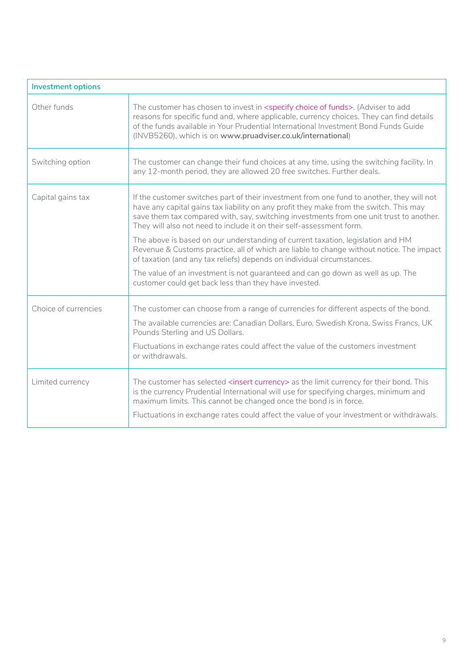| <b>Investment options</b> |                                                                                                                                                                                                                                                                                                                                                                 |  |
|---------------------------|-----------------------------------------------------------------------------------------------------------------------------------------------------------------------------------------------------------------------------------------------------------------------------------------------------------------------------------------------------------------|--|
| Other funds               | The customer has chosen to invest in <specify choice="" funds="" of="">. (Adviser to add<br/>reasons for specific fund and, where applicable, currency choices. They can find details<br/>of the funds available in Your Prudential International Investment Bond Funds Guide<br/>(INVB5260), which is on www.pruadviser.co.uk/international)</specify>         |  |
| Switching option          | The customer can change their fund choices at any time, using the switching facility. In<br>any 12-month period, they are allowed 20 free switches. Further deals.                                                                                                                                                                                              |  |
| Capital gains tax         | If the customer switches part of their investment from one fund to another, they will not<br>have any capital gains tax liability on any profit they make from the switch. This may<br>save them tax compared with, say, switching investments from one unit trust to another.<br>They will also not need to include it on their self-assessment form.          |  |
|                           | The above is based on our understanding of current taxation, legislation and HM<br>Revenue & Customs practice, all of which are liable to change without notice. The impact<br>of taxation (and any tax reliefs) depends on individual circumstances.                                                                                                           |  |
|                           | The value of an investment is not guaranteed and can go down as well as up. The<br>customer could get back less than they have invested.                                                                                                                                                                                                                        |  |
| Choice of currencies      | The customer can choose from a range of currencies for different aspects of the bond.<br>The available currencies are: Canadian Dollars, Euro, Swedish Krona, Swiss Francs, UK<br>Pounds Sterling and US Dollars.<br>Fluctuations in exchange rates could affect the value of the customers investment<br>or withdrawals.                                       |  |
| Limited currency          | The customer has selected <insert currency=""> as the limit currency for their bond. This<br/>is the currency Prudential International will use for specifying charges, minimum and<br/>maximum limits. This cannot be changed once the bond is in force.<br/>Fluctuations in exchange rates could affect the value of your investment or withdrawals.</insert> |  |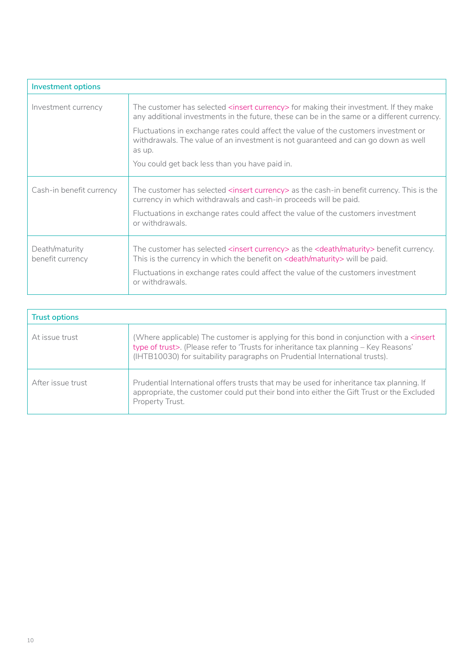| <b>Investment options</b>          |                                                                                                                                                                                                         |
|------------------------------------|---------------------------------------------------------------------------------------------------------------------------------------------------------------------------------------------------------|
| Investment currency                | The customer has selected <insert currency=""> for making their investment. If they make<br/>any additional investments in the future, these can be in the same or a different currency.</insert>       |
|                                    | Fluctuations in exchange rates could affect the value of the customers investment or<br>withdrawals. The value of an investment is not guaranteed and can go down as well<br>as up.                     |
|                                    | You could get back less than you have paid in.                                                                                                                                                          |
| Cash-in benefit currency           | The customer has selected <insert currency=""> as the cash-in benefit currency. This is the<br/>currency in which withdrawals and cash-in proceeds will be paid.</insert>                               |
|                                    | Fluctuations in exchange rates could affect the value of the customers investment<br>or withdrawals.                                                                                                    |
| Death/maturity<br>benefit currency | The customer has selected <insert currency=""> as the <death maturity=""> benefit currency.<br/>This is the currency in which the benefit on <death maturity=""> will be paid.</death></death></insert> |
|                                    | Fluctuations in exchange rates could affect the value of the customers investment<br>or withdrawals.                                                                                                    |

| <b>Trust options</b> |                                                                                                                                                                                                                                                                                |
|----------------------|--------------------------------------------------------------------------------------------------------------------------------------------------------------------------------------------------------------------------------------------------------------------------------|
| At issue trust       | (Where applicable) The customer is applying for this bond in conjunction with a <insert<br>type of trust&gt;. (Please refer to 'Trusts for inheritance tax planning - Key Reasons'<br/>(IHTB10030) for suitability paragraphs on Prudential International trusts).</insert<br> |
| After issue trust    | Prudential International offers trusts that may be used for inheritance tax planning. If<br>appropriate, the customer could put their bond into either the Gift Trust or the Excluded<br>Property Trust.                                                                       |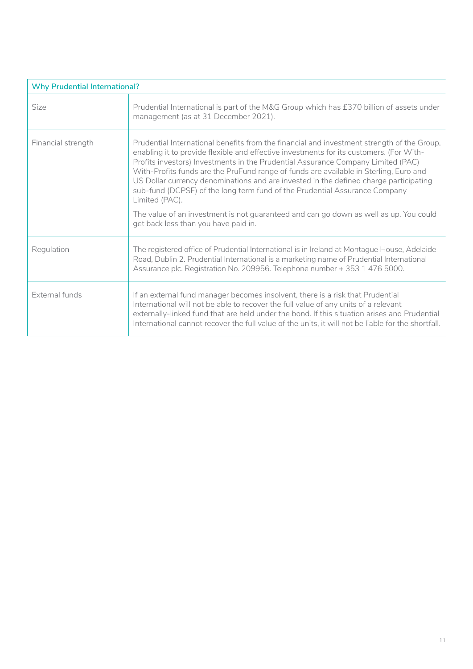| <b>Why Prudential International?</b> |                                                                                                                                                                                                                                                                                                                                                                                                                                                                                                                                                                                                                                                                                              |
|--------------------------------------|----------------------------------------------------------------------------------------------------------------------------------------------------------------------------------------------------------------------------------------------------------------------------------------------------------------------------------------------------------------------------------------------------------------------------------------------------------------------------------------------------------------------------------------------------------------------------------------------------------------------------------------------------------------------------------------------|
| Size                                 | Prudential International is part of the M&G Group which has £370 billion of assets under<br>management (as at 31 December 2021).                                                                                                                                                                                                                                                                                                                                                                                                                                                                                                                                                             |
| Financial strength                   | Prudential International benefits from the financial and investment strength of the Group,<br>enabling it to provide flexible and effective investments for its customers. (For With-<br>Profits investors) Investments in the Prudential Assurance Company Limited (PAC)<br>With-Profits funds are the PruFund range of funds are available in Sterling, Euro and<br>US Dollar currency denominations and are invested in the defined charge participating<br>sub-fund (DCPSF) of the long term fund of the Prudential Assurance Company<br>Limited (PAC).<br>The value of an investment is not guaranteed and can go down as well as up. You could<br>get back less than you have paid in. |
| Regulation                           | The registered office of Prudential International is in Ireland at Montague House, Adelaide<br>Road, Dublin 2. Prudential International is a marketing name of Prudential International<br>Assurance plc. Registration No. 209956. Telephone number + 353 1 476 5000.                                                                                                                                                                                                                                                                                                                                                                                                                        |
| <b>External funds</b>                | If an external fund manager becomes insolvent, there is a risk that Prudential<br>International will not be able to recover the full value of any units of a relevant<br>externally-linked fund that are held under the bond. If this situation arises and Prudential<br>International cannot recover the full value of the units, it will not be liable for the shortfall.                                                                                                                                                                                                                                                                                                                  |